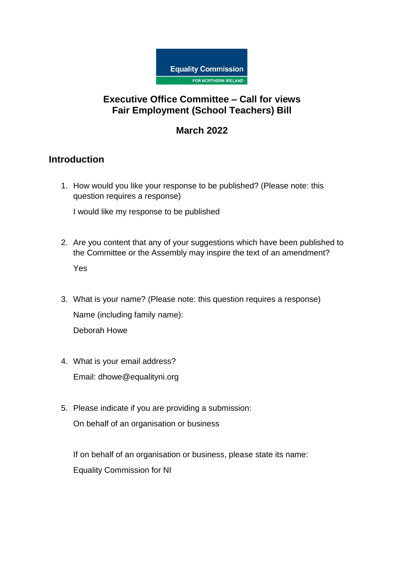

## **Executive Office Committee – Call for views Fair Employment (School Teachers) Bill**

## **March 2022**

## **Introduction**

1. How would you like your response to be published? (Please note: this question requires a response)

I would like my response to be published

- 2. Are you content that any of your suggestions which have been published to the Committee or the Assembly may inspire the text of an amendment? Yes
- 3. What is your name? (Please note: this question requires a response) Name (including family name): Deborah Howe
- 4. What is your email address? Email: dhowe@equalityni.org
- 5. Please indicate if you are providing a submission:

On behalf of an organisation or business

If on behalf of an organisation or business, please state its name: Equality Commission for NI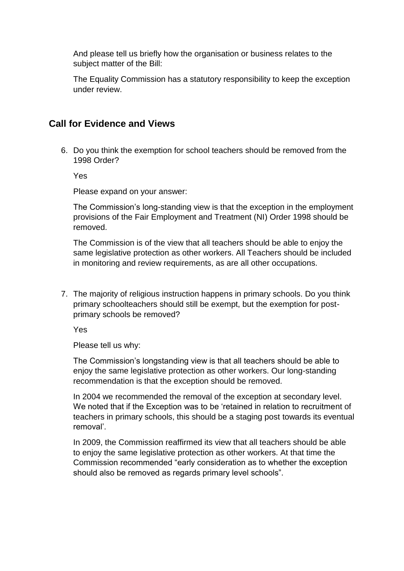And please tell us briefly how the organisation or business relates to the subject matter of the Bill:

The Equality Commission has a statutory responsibility to keep the exception under review.

## **Call for Evidence and Views**

6. Do you think the exemption for school teachers should be removed from the 1998 Order?

Yes

Please expand on your answer:

The Commission's long-standing view is that the exception in the employment provisions of the Fair Employment and Treatment (NI) Order 1998 should be removed.

The Commission is of the view that all teachers should be able to enjoy the same legislative protection as other workers. All Teachers should be included in monitoring and review requirements, as are all other occupations.

7. The majority of religious instruction happens in primary schools. Do you think primary schoolteachers should still be exempt, but the exemption for postprimary schools be removed?

Yes

Please tell us why:

The Commission's longstanding view is that all teachers should be able to enjoy the same legislative protection as other workers. Our long-standing recommendation is that the exception should be removed.

In 2004 we recommended the removal of the exception at secondary level. We noted that if the Exception was to be 'retained in relation to recruitment of teachers in primary schools, this should be a staging post towards its eventual removal'.

In 2009, the Commission reaffirmed its view that all teachers should be able to enjoy the same legislative protection as other workers. At that time the Commission recommended "early consideration as to whether the exception should also be removed as regards primary level schools".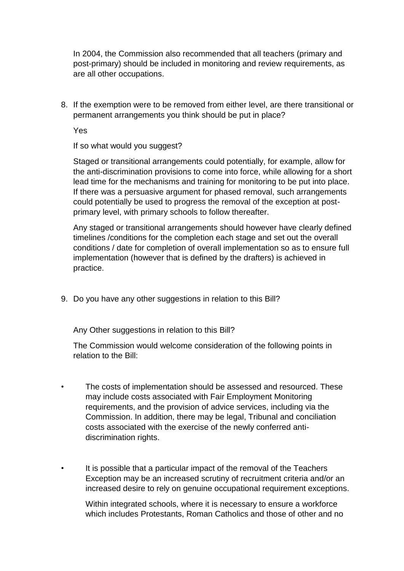In 2004, the Commission also recommended that all teachers (primary and post-primary) should be included in monitoring and review requirements, as are all other occupations.

8. If the exemption were to be removed from either level, are there transitional or permanent arrangements you think should be put in place?

Yes

If so what would you suggest?

Staged or transitional arrangements could potentially, for example, allow for the anti-discrimination provisions to come into force, while allowing for a short lead time for the mechanisms and training for monitoring to be put into place. If there was a persuasive argument for phased removal, such arrangements could potentially be used to progress the removal of the exception at postprimary level, with primary schools to follow thereafter.

Any staged or transitional arrangements should however have clearly defined timelines /conditions for the completion each stage and set out the overall conditions / date for completion of overall implementation so as to ensure full implementation (however that is defined by the drafters) is achieved in practice.

9. Do you have any other suggestions in relation to this Bill?

Any Other suggestions in relation to this Bill?

The Commission would welcome consideration of the following points in relation to the Bill:

- The costs of implementation should be assessed and resourced. These may include costs associated with Fair Employment Monitoring requirements, and the provision of advice services, including via the Commission. In addition, there may be legal, Tribunal and conciliation costs associated with the exercise of the newly conferred antidiscrimination rights.
- It is possible that a particular impact of the removal of the Teachers Exception may be an increased scrutiny of recruitment criteria and/or an increased desire to rely on genuine occupational requirement exceptions.

Within integrated schools, where it is necessary to ensure a workforce which includes Protestants, Roman Catholics and those of other and no